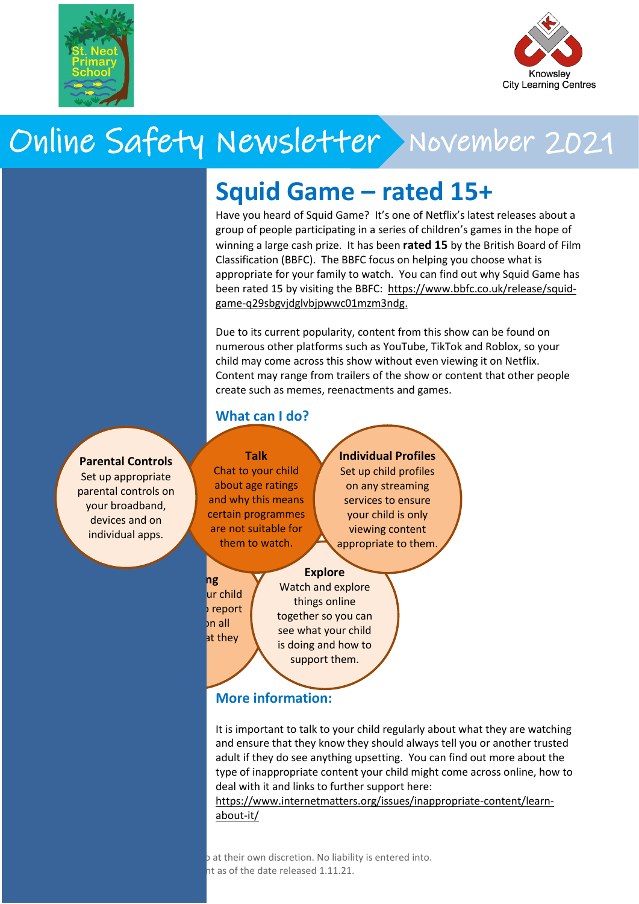

**Grand Theft**

 $\Gamma$  is rated 18+ by PEGI (a couple of  $\Gamma$ versions are rated 16+), this is largely because of bad language, violence, glamourisation of crime and the

**suitable for those under this age.**

**What do I need to be aware**

- In game spending – make sure your bank account details are not linked.

There is also a mobile version of Call of Duty for Android and iOS devices. Find out more about this version

[aware.org.uk/networks/call-of-duty-](https://www.net-aware.org.uk/networks/call-of-duty-mobile/)

It is important to talk to your child regularly about what they are playing online and make sure that they know that they should always talk to you or another trusted adult if they have any

**What can we play instead?** You can use this database to search for games based on your child's age: [https://www.taminggaming.com/cgi-](https://www.taminggaming.com/cgi-bin/taminggaming.cgi)

**GTA is not**



# Online Safety Newsletter November 2021

# **Squid Game – rated 15+**

Have you heard of Squid Game? It's one of Netflix's latest releases about a group of people participating in a series of children's games in the hope of winning a large cash prize. It has been **rated 15** by the British Board of Film Classification (BBFC). The BBFC focus on helping you choose what is appropriate for your family to watch. You can find out why Squid Game has been rated 15 by visiting the BBFC: [https://www.bbfc.co.uk/release/squid](https://www.bbfc.co.uk/release/squid-game-q29sbgvjdglvbjpwwc01mzm3ndg)[game-q29sbgvjdglvbjpwwc01mzm3ndg.](https://www.bbfc.co.uk/release/squid-game-q29sbgvjdglvbjpwwc01mzm3ndg)

Due to its current popularity, content from this show can be found on numerous other platforms such as YouTube, TikTok and Roblox, so your child may come across this show without even viewing it on Netflix. Content may range from trailers of the show or content that other people create such as memes, reenactments and games.

### **What can I do?**

**Talk**

Chat to your child about age ratings and why this means certain programmes are not suitable for them to watch.

**Individual Profiles** Set up child profiles on any streaming services to ensure your child is only viewing content appropriate to them.

#### **Explore**

**Reporting** ur child report  $\ln$ all at they

Watch and explore things online together so you can see what your child is doing and how to support them.

## **More information:**

It is important to talk to your child regularly about what they are watching and ensure that they know they should always tell you or another trusted adult if they do see anything upsetting. You can find out more about the type of inappropriate content your child might come across online, how to deal with it and links to further support here:

[https://www.internetmatters.org/issues/inappropriate-content/learn](https://www.internetmatters.org/issues/inappropriate-content/learn-about-it/)[about-it/](https://www.internetmatters.org/issues/inappropriate-content/learn-about-it/)

o at their own discretion. No liability is entered into. nt as of the date released 1.11.21.

#### **Parental Controls**

Set up appropriate parental controls on your broadband, devices and on individual apps.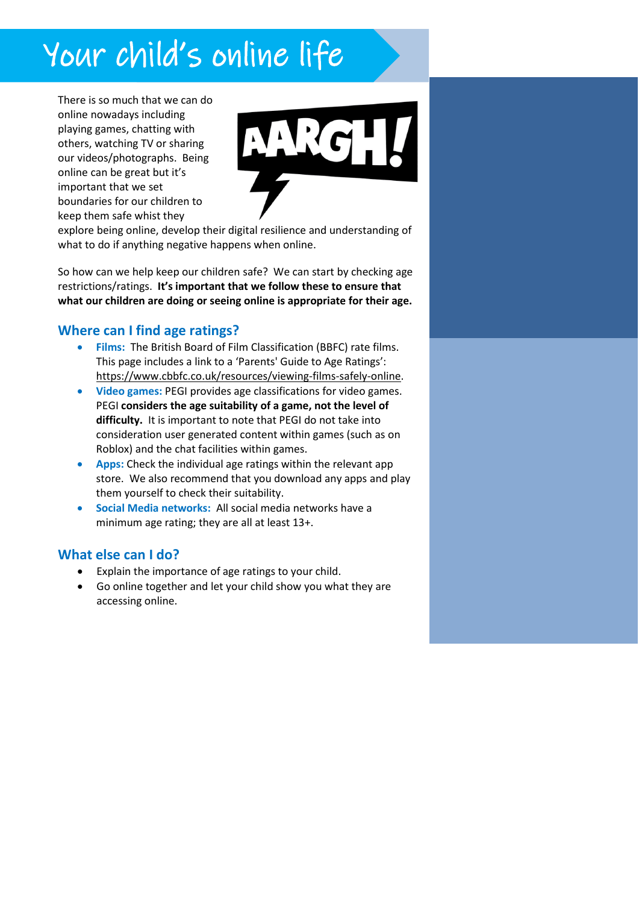# Your child's online life

There is so much that we can do online nowadays including playing games, chatting with others, watching TV or sharing our videos/photographs. Being online can be great but it's important that we set boundaries for our children to keep them safe whist they



details what you should do if you

explore being online, develop their digital resilience and understanding of what to do if anything negative happens when online.

So how can we help keep our children safe? We can start by checking age restrictions/ratings. **It's important that we follow these to ensure that what our children are doing or seeing online is appropriate for their age.**

### **Where can I find age ratings?**

- **Films:** The British Board of Film Classification (BBFC) rate films. This page includes a link to a 'Parents' Guide to Age Ratings': [https://www.cbbfc.co.uk/resources/viewing-films-safely-online.](https://www.cbbfc.co.uk/resources/viewing-films-safely-online)
- **Video games:** PEGI provides age classifications for video games. PEGI **considers the age suitability of a game, not the level of difficulty.** It is important to note that PEGI do not take into consideration user generated content within games (such as on Roblox) and the chat facilities within games.
- **Apps:** Check the individual age ratings within the relevant app store. We also recommend that you download any apps and play them yourself to check their suitability.
- **Social Media networks:** All social media networks have a minimum age rating; they are all at least 13+.

#### **What else can I do?**

- Explain the importance of age ratings to your child.
- Go online together and let your child show you what they are accessing online.